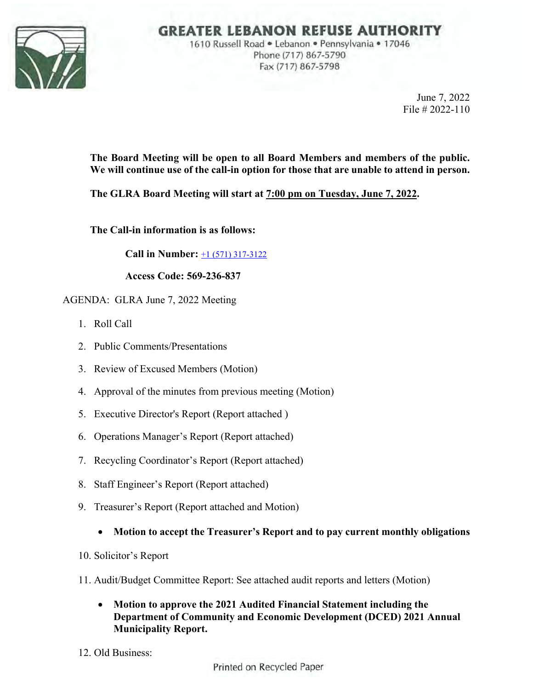

## **GREATER LEBANON REFUSE AUTHORITY**

1610 Russell Road . Lebanon . Pennsylvania . 17046 Phone (717) 867-5790 Fax (717) 867-5798

> June 7, 2022 File # 2022-110

**The Board Meeting will be open to all Board Members and members of the public. We will continue use of the call-in option for those that are unable to attend in person.** 

**The GLRA Board Meeting will start at 7:00 pm on Tuesday, June 7, 2022.** 

**The Call-in information is as follows:** 

**Call in Number:** +1 (571) 317-3122

**Access Code: 569-236-837** 

AGENDA: GLRA June 7, 2022 Meeting

- 1. Roll Call
- 2. Public Comments/Presentations
- 3. Review of Excused Members (Motion)
- 4. Approval of the minutes from previous meeting (Motion)
- 5. Executive Director's Report (Report attached )
- 6. Operations Manager's Report (Report attached)
- 7. Recycling Coordinator's Report (Report attached)
- 8. Staff Engineer's Report (Report attached)
- 9. Treasurer's Report (Report attached and Motion)
	- **Motion to accept the Treasurer's Report and to pay current monthly obligations**
- 10. Solicitor's Report
- 11. Audit/Budget Committee Report: See attached audit reports and letters (Motion)
	- **Motion to approve the 2021 Audited Financial Statement including the Department of Community and Economic Development (DCED) 2021 Annual Municipality Report.**
- 12. Old Business:

Printed on Recycled Paper